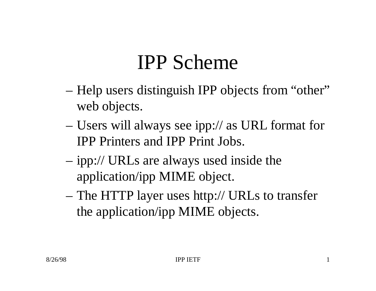#### IPP Scheme

- Help users distinguish IPP objects from "other" web objects.
- Users will always see ipp:// as URL format for IPP Printers and IPP Print Jobs.
- ipp:// URLs are always used inside the application/ipp MIME object.
- The HTTP layer uses http:// URLs to transfer the application/ipp MIME objects.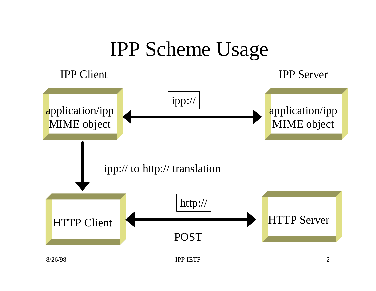#### IPP Scheme Usage

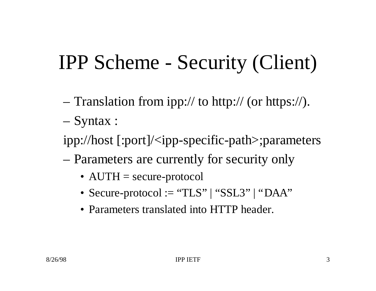## IPP Scheme - Security (Client)

- Translation from ipp:// to http:// (or https://).
- Syntax :
- ipp://host [:port]/<ipp-specific-path>;parameters
- Parameters are currently for security only
	- AUTH = secure-protocol
	- Secure-protocol := "TLS" | "SSL3" | "DAA"
	- Parameters translated into HTTP header.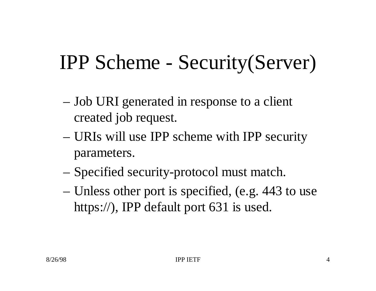## IPP Scheme - Security(Server)

- Job URI generated in response to a client created job request.
- URIs will use IPP scheme with IPP security parameters.
- Specified security-protocol must match.
- Unless other port is specified, (e.g. 443 to use https://), IPP default port 631 is used.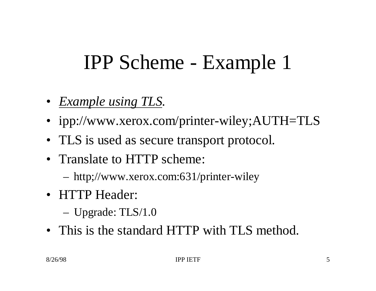## IPP Scheme - Example 1

- *Example using TLS.*
- ipp://www.xerox.com/printer-wiley;AUTH=TLS
- TLS is used as secure transport protocol.
- Translate to HTTP scheme:
	- http;//www.xerox.com:631/printer-wiley
- HTTP Header:
	- Upgrade: TLS/1.0
- This is the standard HTTP with TLS method.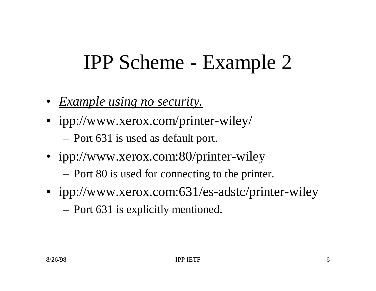### IPP Scheme - Example 2

- *Example using no security.*
- ipp://www.xerox.com/printer-wiley/ – Port 631 is used as default port.
- ipp://www.xerox.com:80/printer-wiley
	- Port 80 is used for connecting to the printer.
- ipp://www.xerox.com:631/es-adstc/printer-wiley
	- Port 631 is explicitly mentioned.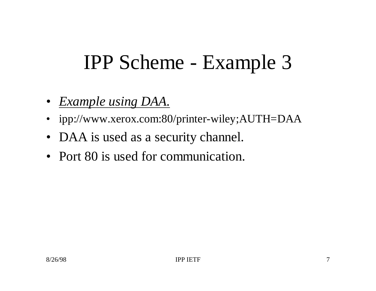#### IPP Scheme - Example 3

- *Example using DAA.*
- ipp://www.xerox.com:80/printer-wiley;AUTH=DAA
- DAA is used as a security channel.
- Port 80 is used for communication.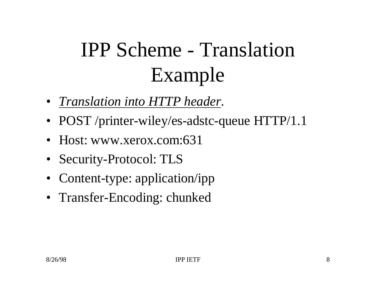# IPP Scheme - Translation Example

- *Translation into HTTP header*.
- POST /printer-wiley/es-adstc-queue HTTP/1.1
- Host: www.xerox.com:631
- Security-Protocol: TLS
- Content-type: application/ipp
- Transfer-Encoding: chunked